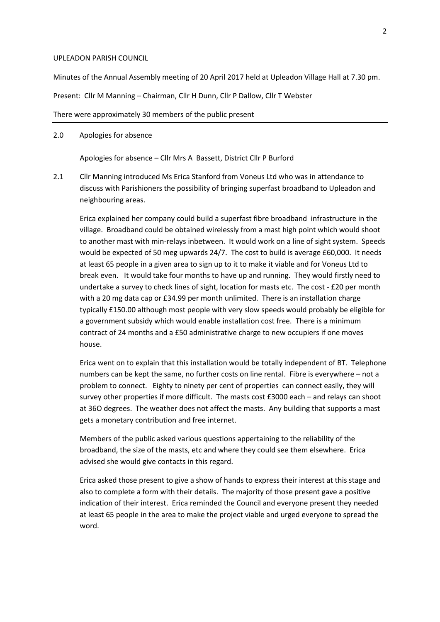## UPLEADON PARISH COUNCIL

Minutes of the Annual Assembly meeting of 20 April 2017 held at Upleadon Village Hall at 7.30 pm.

Present: Cllr M Manning – Chairman, Cllr H Dunn, Cllr P Dallow, Cllr T Webster

## There were approximately 30 members of the public present

## 2.0 Apologies for absence

Apologies for absence – Cllr Mrs A Bassett, District Cllr P Burford

2.1 Cllr Manning introduced Ms Erica Stanford from Voneus Ltd who was in attendance to discuss with Parishioners the possibility of bringing superfast broadband to Upleadon and neighbouring areas.

Erica explained her company could build a superfast fibre broadband infrastructure in the village. Broadband could be obtained wirelessly from a mast high point which would shoot to another mast with min-relays inbetween. It would work on a line of sight system. Speeds would be expected of 50 meg upwards 24/7. The cost to build is average £60,000. It needs at least 65 people in a given area to sign up to it to make it viable and for Voneus Ltd to break even. It would take four months to have up and running. They would firstly need to undertake a survey to check lines of sight, location for masts etc. The cost - £20 per month with a 20 mg data cap or £34.99 per month unlimited. There is an installation charge typically £150.00 although most people with very slow speeds would probably be eligible for a government subsidy which would enable installation cost free. There is a minimum contract of 24 months and a £50 administrative charge to new occupiers if one moves house.

Erica went on to explain that this installation would be totally independent of BT. Telephone numbers can be kept the same, no further costs on line rental. Fibre is everywhere – not a problem to connect. Eighty to ninety per cent of properties can connect easily, they will survey other properties if more difficult. The masts cost £3000 each – and relays can shoot at 36O degrees. The weather does not affect the masts. Any building that supports a mast gets a monetary contribution and free internet.

Members of the public asked various questions appertaining to the reliability of the broadband, the size of the masts, etc and where they could see them elsewhere. Erica advised she would give contacts in this regard.

Erica asked those present to give a show of hands to express their interest at this stage and also to complete a form with their details. The majority of those present gave a positive indication of their interest. Erica reminded the Council and everyone present they needed at least 65 people in the area to make the project viable and urged everyone to spread the word.